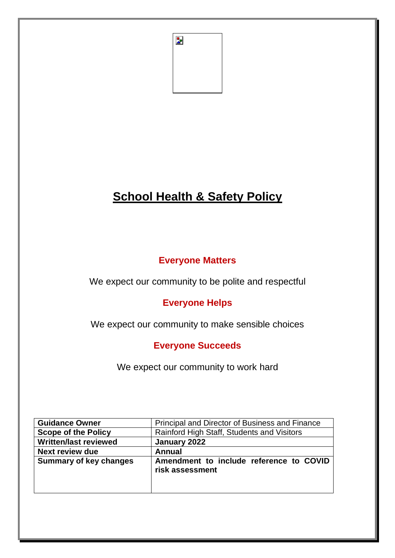

# **School Health & Safety Policy**

# **Everyone Matters**

We expect our community to be polite and respectful

# **Everyone Helps**

We expect our community to make sensible choices

# **Everyone Succeeds**

We expect our community to work hard

| <b>Guidance Owner</b>         | Principal and Director of Business and Finance             |
|-------------------------------|------------------------------------------------------------|
| <b>Scope of the Policy</b>    | Rainford High Staff, Students and Visitors                 |
| <b>Written/last reviewed</b>  | January 2022                                               |
| Next review due               | Annual                                                     |
| <b>Summary of key changes</b> | Amendment to include reference to COVID<br>risk assessment |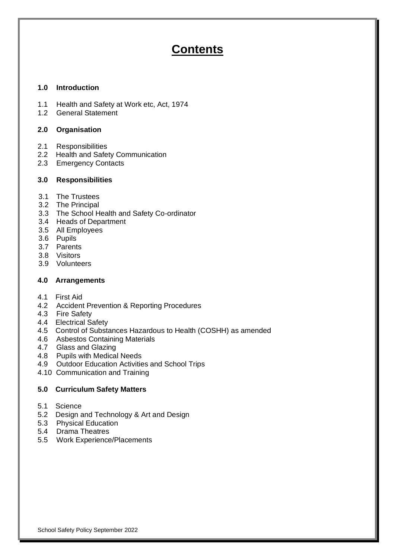# **Contents**

# **1.0 Introduction**

- 1.1 Health and Safety at Work etc, Act, 1974
- 1.2 General Statement

# **2.0 Organisation**

- 2.1 Responsibilities
- 2.2 Health and Safety Communication
- 2.3 Emergency Contacts

# **3.0 Responsibilities**

- 3.1 The Trustees
- 3.2 The Principal
- 3.3 The School Health and Safety Co-ordinator
- 3.4 Heads of Department
- 3.5 All Employees
- 3.6 Pupils
- 3.7 Parents
- 3.8 Visitors
- 3.9 Volunteers

# **4.0 Arrangements**

- 4.1 First Aid
- 4.2 Accident Prevention & Reporting Procedures
- 4.3 Fire Safety
- 4.4 Electrical Safety
- 4.5 Control of Substances Hazardous to Health (COSHH) as amended
- 4.6 Asbestos Containing Materials
- 4.7 Glass and Glazing
- 4.8 Pupils with Medical Needs
- 4.9 Outdoor Education Activities and School Trips
- 4.10 Communication and Training

# **5.0 Curriculum Safety Matters**

- 5.1 Science
- 5.2 Design and Technology & Art and Design
- 5.3 Physical Education
- 5.4 Drama Theatres
- 5.5 Work Experience/Placements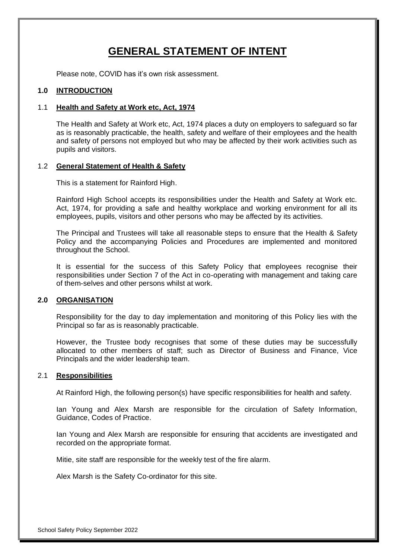# **GENERAL STATEMENT OF INTENT**

Please note, COVID has it's own risk assessment.

# **1.0 INTRODUCTION**

#### 1.1 **Health and Safety at Work etc, Act, 1974**

The Health and Safety at Work etc, Act, 1974 places a duty on employers to safeguard so far as is reasonably practicable, the health, safety and welfare of their employees and the health and safety of persons not employed but who may be affected by their work activities such as pupils and visitors.

#### 1.2 **General Statement of Health & Safety**

This is a statement for Rainford High.

Rainford High School accepts its responsibilities under the Health and Safety at Work etc. Act, 1974, for providing a safe and healthy workplace and working environment for all its employees, pupils, visitors and other persons who may be affected by its activities.

The Principal and Trustees will take all reasonable steps to ensure that the Health & Safety Policy and the accompanying Policies and Procedures are implemented and monitored throughout the School.

It is essential for the success of this Safety Policy that employees recognise their responsibilities under Section 7 of the Act in co-operating with management and taking care of them-selves and other persons whilst at work.

# **2.0 ORGANISATION**

Responsibility for the day to day implementation and monitoring of this Policy lies with the Principal so far as is reasonably practicable.

However, the Trustee body recognises that some of these duties may be successfully allocated to other members of staff; such as Director of Business and Finance, Vice Principals and the wider leadership team.

#### 2.1 **Responsibilities**

At Rainford High, the following person(s) have specific responsibilities for health and safety.

Ian Young and Alex Marsh are responsible for the circulation of Safety Information, Guidance, Codes of Practice.

Ian Young and Alex Marsh are responsible for ensuring that accidents are investigated and recorded on the appropriate format.

Mitie, site staff are responsible for the weekly test of the fire alarm.

Alex Marsh is the Safety Co-ordinator for this site.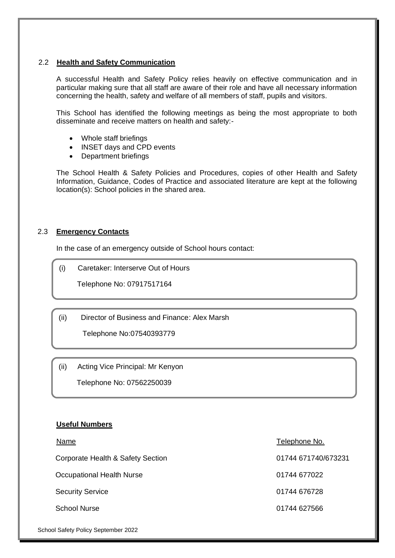## 2.2 **Health and Safety Communication**

A successful Health and Safety Policy relies heavily on effective communication and in particular making sure that all staff are aware of their role and have all necessary information concerning the health, safety and welfare of all members of staff, pupils and visitors.

This School has identified the following meetings as being the most appropriate to both disseminate and receive matters on health and safety:-

- Whole staff briefings
- INSET days and CPD events
- Department briefings

The School Health & Safety Policies and Procedures, copies of other Health and Safety Information, Guidance, Codes of Practice and associated literature are kept at the following location(s): School policies in the shared area.

# 2.3 **Emergency Contacts**

In the case of an emergency outside of School hours contact:

(i) Caretaker: Interserve Out of Hours

Telephone No: 07917517164

(ii) Director of Business and Finance: Alex Marsh

Telephone No:07540393779

(ii) Acting Vice Principal: Mr Kenyon

Telephone No: 07562250039

(iii) Caretaker: Interserve Out of Hours

# **Useful Numbers**

Corporate Health & Safety Section 01744 671740/673231

Occupational Health Nurse **Contract 101744 677022** 

Security Service **DEVILLE 1999** Contract 1999 12:44 676728

School Nurse 01744 627566

Name Telephone No.

School Safety Policy September 2022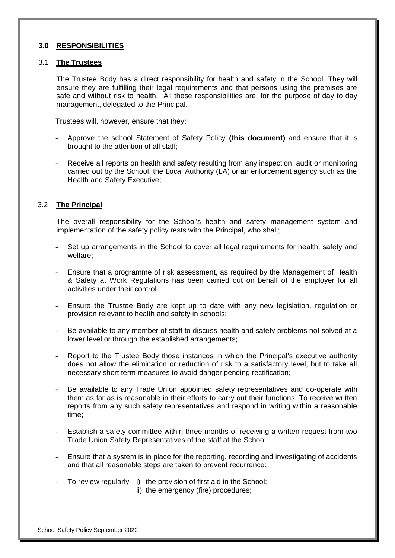#### **3.0 RESPONSIBILITIES**

#### 3.1 **The Trustees**

The Trustee Body has a direct responsibility for health and safety in the School. They will ensure they are fulfilling their legal requirements and that persons using the premises are safe and without risk to health. All these responsibilities are, for the purpose of day to day management, delegated to the Principal.

Trustees will, however, ensure that they;

- Approve the school Statement of Safety Policy **(this document)** and ensure that it is brought to the attention of all staff;
- Receive all reports on health and safety resulting from any inspection, audit or monitoring carried out by the School, the Local Authority (LA) or an enforcement agency such as the Health and Safety Executive;

# 3.2 **The Principal**

The overall responsibility for the School's health and safety management system and implementation of the safety policy rests with the Principal, who shall;

- Set up arrangements in the School to cover all legal requirements for health, safety and welfare;
- Ensure that a programme of risk assessment, as required by the Management of Health & Safety at Work Regulations has been carried out on behalf of the employer for all activities under their control.
- Ensure the Trustee Body are kept up to date with any new legislation, regulation or provision relevant to health and safety in schools;
- Be available to any member of staff to discuss health and safety problems not solved at a lower level or through the established arrangements;
- Report to the Trustee Body those instances in which the Principal's executive authority does not allow the elimination or reduction of risk to a satisfactory level, but to take all necessary short term measures to avoid danger pending rectification;
- Be available to any Trade Union appointed safety representatives and co-operate with them as far as is reasonable in their efforts to carry out their functions. To receive written reports from any such safety representatives and respond in writing within a reasonable time;
- Establish a safety committee within three months of receiving a written request from two Trade Union Safety Representatives of the staff at the School;
- Ensure that a system is in place for the reporting, recording and investigating of accidents and that all reasonable steps are taken to prevent recurrence;
- To review regularly i) the provision of first aid in the School;
	- ii) the emergency (fire) procedures;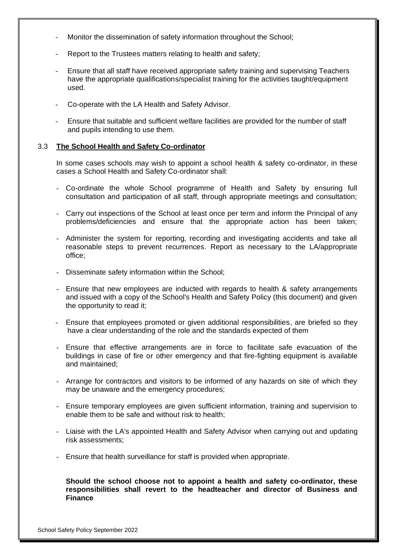- Monitor the dissemination of safety information throughout the School;
- Report to the Trustees matters relating to health and safety;
- Ensure that all staff have received appropriate safety training and supervising Teachers have the appropriate qualifications/specialist training for the activities taught/equipment used.
- Co-operate with the LA Health and Safety Advisor.
- Ensure that suitable and sufficient welfare facilities are provided for the number of staff and pupils intending to use them.

#### 3.3 **The School Health and Safety Co-ordinator**

In some cases schools may wish to appoint a school health & safety co-ordinator, in these cases a School Health and Safety Co-ordinator shall:

- Co-ordinate the whole School programme of Health and Safety by ensuring full consultation and participation of all staff, through appropriate meetings and consultation;
- Carry out inspections of the School at least once per term and inform the Principal of any problems/deficiencies and ensure that the appropriate action has been taken;
- Administer the system for reporting, recording and investigating accidents and take all reasonable steps to prevent recurrences. Report as necessary to the LA/appropriate office;
- Disseminate safety information within the School;
- Ensure that new employees are inducted with regards to health & safety arrangements and issued with a copy of the School's Health and Safety Policy (this document) and given the opportunity to read it;
- Ensure that employees promoted or given additional responsibilities, are briefed so they have a clear understanding of the role and the standards expected of them
- Ensure that effective arrangements are in force to facilitate safe evacuation of the buildings in case of fire or other emergency and that fire-fighting equipment is available and maintained;
- Arrange for contractors and visitors to be informed of any hazards on site of which they may be unaware and the emergency procedures;
- Ensure temporary employees are given sufficient information, training and supervision to enable them to be safe and without risk to health;
- Liaise with the LA's appointed Health and Safety Advisor when carrying out and updating risk assessments;
- Ensure that health surveillance for staff is provided when appropriate.

**Should the school choose not to appoint a health and safety co-ordinator, these responsibilities shall revert to the headteacher and director of Business and Finance**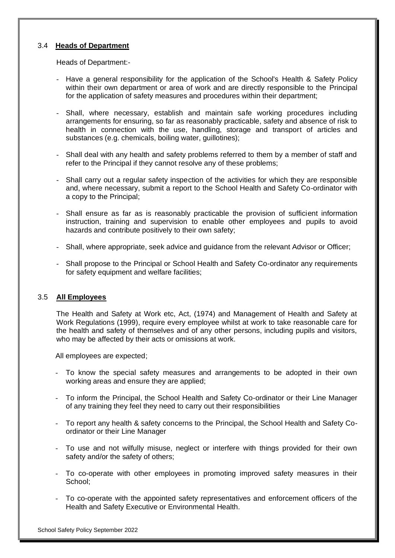#### 3.4 **Heads of Department**

Heads of Department:-

- Have a general responsibility for the application of the School's Health & Safety Policy within their own department or area of work and are directly responsible to the Principal for the application of safety measures and procedures within their department;
- Shall, where necessary, establish and maintain safe working procedures including arrangements for ensuring, so far as reasonably practicable, safety and absence of risk to health in connection with the use, handling, storage and transport of articles and substances (e.g. chemicals, boiling water, guillotines);
- Shall deal with any health and safety problems referred to them by a member of staff and refer to the Principal if they cannot resolve any of these problems;
- Shall carry out a regular safety inspection of the activities for which they are responsible and, where necessary, submit a report to the School Health and Safety Co-ordinator with a copy to the Principal;
- Shall ensure as far as is reasonably practicable the provision of sufficient information instruction, training and supervision to enable other employees and pupils to avoid hazards and contribute positively to their own safety;
- Shall, where appropriate, seek advice and guidance from the relevant Advisor or Officer;
- Shall propose to the Principal or School Health and Safety Co-ordinator any requirements for safety equipment and welfare facilities;

#### 3.5 **All Employees**

The Health and Safety at Work etc, Act, (1974) and Management of Health and Safety at Work Regulations (1999), require every employee whilst at work to take reasonable care for the health and safety of themselves and of any other persons, including pupils and visitors, who may be affected by their acts or omissions at work.

All employees are expected;

- To know the special safety measures and arrangements to be adopted in their own working areas and ensure they are applied;
- To inform the Principal, the School Health and Safety Co-ordinator or their Line Manager of any training they feel they need to carry out their responsibilities
- To report any health & safety concerns to the Principal, the School Health and Safety Coordinator or their Line Manager
- To use and not wilfully misuse, neglect or interfere with things provided for their own safety and/or the safety of others;
- To co-operate with other employees in promoting improved safety measures in their School;
- To co-operate with the appointed safety representatives and enforcement officers of the Health and Safety Executive or Environmental Health.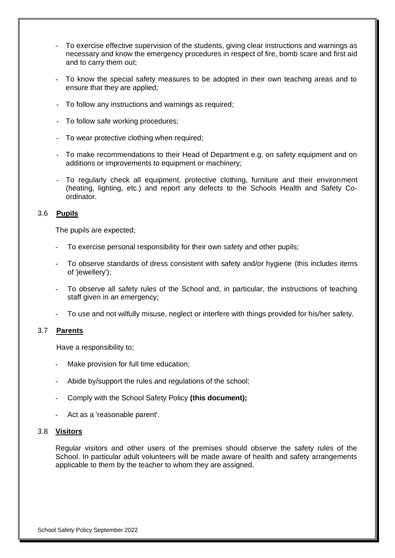- To exercise effective supervision of the students, giving clear instructions and warnings as necessary and know the emergency procedures in respect of fire, bomb scare and first aid and to carry them out;
- To know the special safety measures to be adopted in their own teaching areas and to ensure that they are applied;
- To follow any instructions and warnings as required;
- To follow safe working procedures;
- To wear protective clothing when required;
- To make recommendations to their Head of Department e.g. on safety equipment and on additions or improvements to equipment or machinery;
- To regularly check all equipment, protective clothing, furniture and their environment (heating, lighting, etc.) and report any defects to the Schools Health and Safety Coordinator.

# 3.6 **Pupils**

The pupils are expected;

- To exercise personal responsibility for their own safety and other pupils;
- To observe standards of dress consistent with safety and/or hygiene (this includes items of 'jewellery');
- To observe all safety rules of the School and, in particular, the instructions of teaching staff given in an emergency;
- To use and not wilfully misuse, neglect or interfere with things provided for his/her safety.

# 3.7 **Parents**

Have a responsibility to;

- Make provision for full time education;
- Abide by/support the rules and regulations of the school;
- Comply with the School Safety Policy **(this document);**
- Act as a 'reasonable parent'.

#### 3.8 **Visitors**

Regular visitors and other users of the premises should observe the safety rules of the School. In particular adult volunteers will be made aware of health and safety arrangements applicable to them by the teacher to whom they are assigned.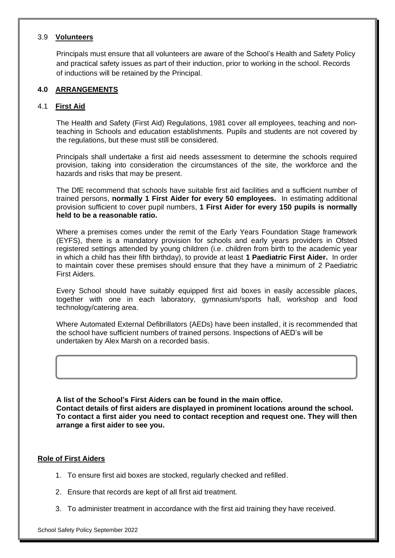## 3.9 **Volunteers**

Principals must ensure that all volunteers are aware of the School's Health and Safety Policy and practical safety issues as part of their induction, prior to working in the school. Records of inductions will be retained by the Principal.

# **4.0 ARRANGEMENTS**

# 4.1 **First Aid**

The Health and Safety (First Aid) Regulations, 1981 cover all employees, teaching and nonteaching in Schools and education establishments. Pupils and students are not covered by the regulations, but these must still be considered.

Principals shall undertake a first aid needs assessment to determine the schools required provision, taking into consideration the circumstances of the site, the workforce and the hazards and risks that may be present.

The DfE recommend that schools have suitable first aid facilities and a sufficient number of trained persons, **normally 1 First Aider for every 50 employees.** In estimating additional provision sufficient to cover pupil numbers, **1 First Aider for every 150 pupils is normally held to be a reasonable ratio.**

Where a premises comes under the remit of the Early Years Foundation Stage framework (EYFS), there is a mandatory provision for schools and early years providers in Ofsted registered settings attended by young children (i.e. children from birth to the academic year in which a child has their fifth birthday), to provide at least **1 Paediatric First Aider.** In order to maintain cover these premises should ensure that they have a minimum of 2 Paediatric First Aiders.

Every School should have suitably equipped first aid boxes in easily accessible places, together with one in each laboratory, gymnasium/sports hall, workshop and food technology/catering area.

Where Automated External Defibrillators (AEDs) have been installed, it is recommended that the school have sufficient numbers of trained persons. Inspections of AED's will be undertaken by Alex Marsh on a recorded basis.

**A list of the School's First Aiders can be found in the main office. Contact details of first aiders are displayed in prominent locations around the school. To contact a first aider you need to contact reception and request one. They will then arrange a first aider to see you.**

# **Role of First Aiders**

ſ

- 1. To ensure first aid boxes are stocked, regularly checked and refilled.
- 2. Ensure that records are kept of all first aid treatment.
- 3. To administer treatment in accordance with the first aid training they have received.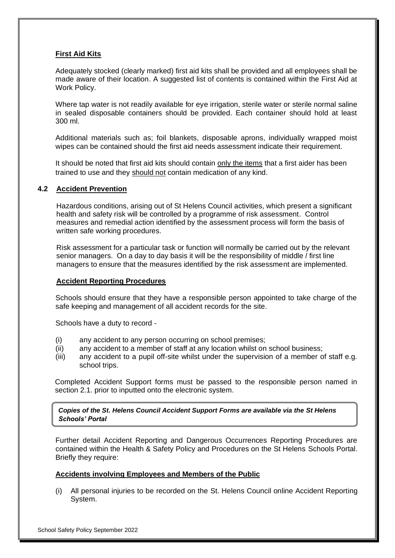# **First Aid Kits**

Adequately stocked (clearly marked) first aid kits shall be provided and all employees shall be made aware of their location. A suggested list of contents is contained within the First Aid at Work Policy.

Where tap water is not readily available for eye irrigation, sterile water or sterile normal saline in sealed disposable containers should be provided. Each container should hold at least 300 ml.

Additional materials such as; foil blankets, disposable aprons, individually wrapped moist wipes can be contained should the first aid needs assessment indicate their requirement.

It should be noted that first aid kits should contain only the items that a first aider has been trained to use and they should not contain medication of any kind.

#### **4.2 Accident Prevention**

Hazardous conditions, arising out of St Helens Council activities, which present a significant health and safety risk will be controlled by a programme of risk assessment. Control measures and remedial action identified by the assessment process will form the basis of written safe working procedures.

Risk assessment for a particular task or function will normally be carried out by the relevant senior managers. On a day to day basis it will be the responsibility of middle / first line managers to ensure that the measures identified by the risk assessment are implemented.

#### **Accident Reporting Procedures**

Schools should ensure that they have a responsible person appointed to take charge of the safe keeping and management of all accident records for the site.

Schools have a duty to record -

- (i) any accident to any person occurring on school premises;
- (ii) any accident to a member of staff at any location whilst on school business;
- (iii) any accident to a pupil off-site whilst under the supervision of a member of staff e.g. school trips.

Completed Accident Support forms must be passed to the responsible person named in section 2.1. prior to inputted onto the electronic system.

*Copies of the St. Helens Council Accident Support Forms are available via the St Helens Schools' Portal* 

Further detail Accident Reporting and Dangerous Occurrences Reporting Procedures are contained within the Health & Safety Policy and Procedures on the St Helens Schools Portal. Briefly they require:

#### **Accidents involving Employees and Members of the Public**

(i) All personal injuries to be recorded on the St. Helens Council online Accident Reporting System.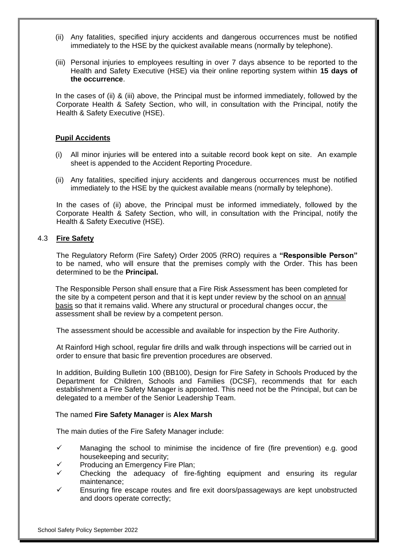- (ii) Any fatalities, specified injury accidents and dangerous occurrences must be notified immediately to the HSE by the quickest available means (normally by telephone).
- (iii) Personal injuries to employees resulting in over 7 days absence to be reported to the Health and Safety Executive (HSE) via their online reporting system within **15 days of the occurrence**.

In the cases of (ii) & (iii) above, the Principal must be informed immediately, followed by the Corporate Health & Safety Section, who will, in consultation with the Principal, notify the Health & Safety Executive (HSE).

#### **Pupil Accidents**

- (i) All minor injuries will be entered into a suitable record book kept on site. An example sheet is appended to the Accident Reporting Procedure.
- (ii) Any fatalities, specified injury accidents and dangerous occurrences must be notified immediately to the HSE by the quickest available means (normally by telephone).

In the cases of (ii) above, the Principal must be informed immediately, followed by the Corporate Health & Safety Section, who will, in consultation with the Principal, notify the Health & Safety Executive (HSE).

## 4.3 **Fire Safety**

The Regulatory Reform (Fire Safety) Order 2005 (RRO) requires a **"Responsible Person"**  to be named, who will ensure that the premises comply with the Order. This has been determined to be the **Principal.**

The Responsible Person shall ensure that a Fire Risk Assessment has been completed for the site by a competent person and that it is kept under review by the school on an annual basis so that it remains valid. Where any structural or procedural changes occur, the assessment shall be review by a competent person.

The assessment should be accessible and available for inspection by the Fire Authority.

At Rainford High school, regular fire drills and walk through inspections will be carried out in order to ensure that basic fire prevention procedures are observed.

In addition, Building Bulletin 100 (BB100), Design for Fire Safety in Schools Produced by the Department for Children, Schools and Families (DCSF), recommends that for each establishment a Fire Safety Manager is appointed. This need not be the Principal, but can be delegated to a member of the Senior Leadership Team.

#### The named **Fire Safety Manager** is **Alex Marsh**

The main duties of the Fire Safety Manager include:

- $\checkmark$  Managing the school to minimise the incidence of fire (fire prevention) e.g. good housekeeping and security;
- Producing an Emergency Fire Plan;
- $\checkmark$  Checking the adequacy of fire-fighting equipment and ensuring its regular maintenance;
- Ensuring fire escape routes and fire exit doors/passageways are kept unobstructed and doors operate correctly;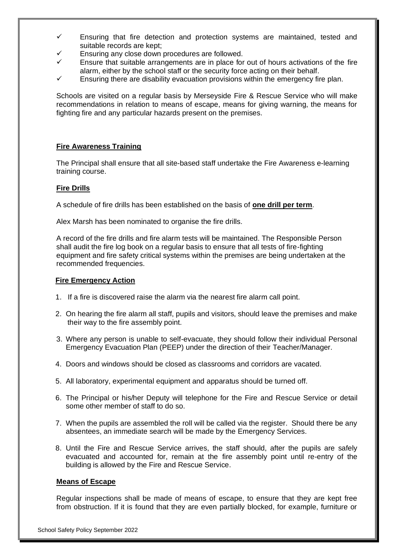- $\checkmark$  Ensuring that fire detection and protection systems are maintained, tested and suitable records are kept;
- Ensuring any close down procedures are followed.
- Ensure that suitable arrangements are in place for out of hours activations of the fire alarm, either by the school staff or the security force acting on their behalf.
- Ensuring there are disability evacuation provisions within the emergency fire plan.

Schools are visited on a regular basis by Merseyside Fire & Rescue Service who will make recommendations in relation to means of escape, means for giving warning, the means for fighting fire and any particular hazards present on the premises.

# **Fire Awareness Training**

The Principal shall ensure that all site-based staff undertake the Fire Awareness e-learning training course.

# **Fire Drills**

A schedule of fire drills has been established on the basis of **one drill per term**.

Alex Marsh has been nominated to organise the fire drills.

A record of the fire drills and fire alarm tests will be maintained. The Responsible Person shall audit the fire log book on a regular basis to ensure that all tests of fire-fighting equipment and fire safety critical systems within the premises are being undertaken at the recommended frequencies.

## **Fire Emergency Action**

- 1. If a fire is discovered raise the alarm via the nearest fire alarm call point.
- 2. On hearing the fire alarm all staff, pupils and visitors, should leave the premises and make their way to the fire assembly point.
- 3. Where any person is unable to self-evacuate, they should follow their individual Personal Emergency Evacuation Plan (PEEP) under the direction of their Teacher/Manager.
- 4. Doors and windows should be closed as classrooms and corridors are vacated.
- 5. All laboratory, experimental equipment and apparatus should be turned off.
- 6. The Principal or his/her Deputy will telephone for the Fire and Rescue Service or detail some other member of staff to do so.
- 7. When the pupils are assembled the roll will be called via the register. Should there be any absentees, an immediate search will be made by the Emergency Services.
- 8. Until the Fire and Rescue Service arrives, the staff should, after the pupils are safely evacuated and accounted for, remain at the fire assembly point until re-entry of the building is allowed by the Fire and Rescue Service.

# **Means of Escape**

Regular inspections shall be made of means of escape, to ensure that they are kept free from obstruction. If it is found that they are even partially blocked, for example, furniture or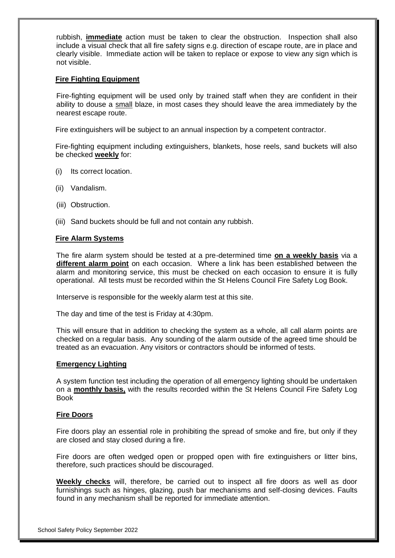rubbish, **immediate** action must be taken to clear the obstruction. Inspection shall also include a visual check that all fire safety signs e.g. direction of escape route, are in place and clearly visible. Immediate action will be taken to replace or expose to view any sign which is not visible.

#### **Fire Fighting Equipment**

Fire-fighting equipment will be used only by trained staff when they are confident in their ability to douse a small blaze, in most cases they should leave the area immediately by the nearest escape route.

Fire extinguishers will be subject to an annual inspection by a competent contractor.

Fire-fighting equipment including extinguishers, blankets, hose reels, sand buckets will also be checked **weekly** for:

- (i) Its correct location.
- (ii) Vandalism.
- (iii) Obstruction.
- (iii) Sand buckets should be full and not contain any rubbish.

#### **Fire Alarm Systems**

The fire alarm system should be tested at a pre-determined time **on a weekly basis** via a **different alarm point** on each occasion. Where a link has been established between the alarm and monitoring service, this must be checked on each occasion to ensure it is fully operational. All tests must be recorded within the St Helens Council Fire Safety Log Book.

Interserve is responsible for the weekly alarm test at this site.

The day and time of the test is Friday at 4:30pm.

This will ensure that in addition to checking the system as a whole, all call alarm points are checked on a regular basis. Any sounding of the alarm outside of the agreed time should be treated as an evacuation. Any visitors or contractors should be informed of tests.

#### **Emergency Lighting**

A system function test including the operation of all emergency lighting should be undertaken on a **monthly basis,** with the results recorded within the St Helens Council Fire Safety Log Book

#### **Fire Doors**

Fire doors play an essential role in prohibiting the spread of smoke and fire, but only if they are closed and stay closed during a fire.

Fire doors are often wedged open or propped open with fire extinguishers or litter bins, therefore, such practices should be discouraged.

**Weekly checks** will, therefore, be carried out to inspect all fire doors as well as door furnishings such as hinges, glazing, push bar mechanisms and self-closing devices. Faults found in any mechanism shall be reported for immediate attention.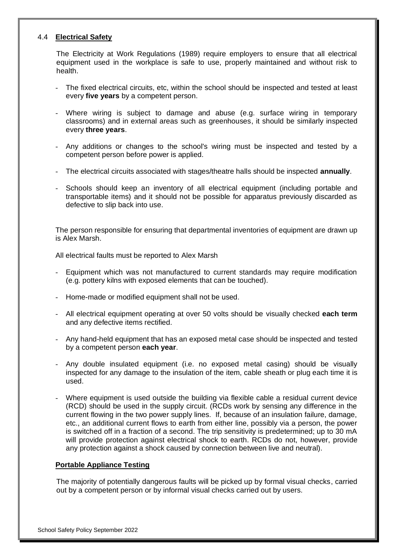# 4.4 **Electrical Safety**

The Electricity at Work Regulations (1989) require employers to ensure that all electrical equipment used in the workplace is safe to use, properly maintained and without risk to health.

- The fixed electrical circuits, etc, within the school should be inspected and tested at least every **five years** by a competent person.
- Where wiring is subject to damage and abuse (e.g. surface wiring in temporary classrooms) and in external areas such as greenhouses, it should be similarly inspected every **three years**.
- Any additions or changes to the school's wiring must be inspected and tested by a competent person before power is applied.
- The electrical circuits associated with stages/theatre halls should be inspected **annually**.
- Schools should keep an inventory of all electrical equipment (including portable and transportable items) and it should not be possible for apparatus previously discarded as defective to slip back into use.

The person responsible for ensuring that departmental inventories of equipment are drawn up is Alex Marsh.

All electrical faults must be reported to Alex Marsh

- Equipment which was not manufactured to current standards may require modification (e.g. pottery kilns with exposed elements that can be touched).
- Home-made or modified equipment shall not be used.
- All electrical equipment operating at over 50 volts should be visually checked **each term** and any defective items rectified.
- Any hand-held equipment that has an exposed metal case should be inspected and tested by a competent person **each year**.
- Any double insulated equipment (i.e. no exposed metal casing) should be visually inspected for any damage to the insulation of the item, cable sheath or plug each time it is used.
- Where equipment is used outside the building via flexible cable a residual current device (RCD) should be used in the supply circuit. (RCDs work by sensing any difference in the current flowing in the two power supply lines. If, because of an insulation failure, damage, etc., an additional current flows to earth from either line, possibly via a person, the power is switched off in a fraction of a second. The trip sensitivity is predetermined; up to 30 mA will provide protection against electrical shock to earth. RCDs do not, however, provide any protection against a shock caused by connection between live and neutral).

# **Portable Appliance Testing**

The majority of potentially dangerous faults will be picked up by formal visual checks, carried out by a competent person or by informal visual checks carried out by users.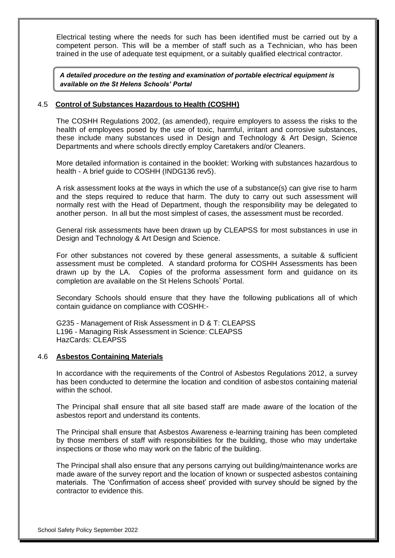Electrical testing where the needs for such has been identified must be carried out by a competent person. This will be a member of staff such as a Technician, who has been trained in the use of adequate test equipment, or a suitably qualified electrical contractor.

*A detailed procedure on the testing and examination of portable electrical equipment is available on the St Helens Schools' Portal*

#### 4.5 **Control of Substances Hazardous to Health (COSHH)**

The COSHH Regulations 2002, (as amended), require employers to assess the risks to the health of employees posed by the use of toxic, harmful, irritant and corrosive substances, these include many substances used in Design and Technology & Art Design, Science Departments and where schools directly employ Caretakers and/or Cleaners.

More detailed information is contained in the booklet: Working with substances hazardous to health - A brief guide to COSHH (INDG136 rev5).

A risk assessment looks at the ways in which the use of a substance(s) can give rise to harm and the steps required to reduce that harm. The duty to carry out such assessment will normally rest with the Head of Department, though the responsibility may be delegated to another person. In all but the most simplest of cases, the assessment must be recorded.

General risk assessments have been drawn up by CLEAPSS for most substances in use in Design and Technology & Art Design and Science.

For other substances not covered by these general assessments, a suitable & sufficient assessment must be completed. A standard proforma for COSHH Assessments has been drawn up by the LA. Copies of the proforma assessment form and guidance on its completion are available on the St Helens Schools' Portal.

Secondary Schools should ensure that they have the following publications all of which contain guidance on compliance with COSHH:-

G235 - Management of Risk Assessment in D & T: CLEAPSS L196 - Managing Risk Assessment in Science: CLEAPSS HazCards: CLEAPSS

#### 4.6 **Asbestos Containing Materials**

In accordance with the requirements of the Control of Asbestos Regulations 2012, a survey has been conducted to determine the location and condition of asbestos containing material within the school.

The Principal shall ensure that all site based staff are made aware of the location of the asbestos report and understand its contents.

The Principal shall ensure that Asbestos Awareness e-learning training has been completed by those members of staff with responsibilities for the building, those who may undertake inspections or those who may work on the fabric of the building.

The Principal shall also ensure that any persons carrying out building/maintenance works are made aware of the survey report and the location of known or suspected asbestos containing materials. The 'Confirmation of access sheet' provided with survey should be signed by the contractor to evidence this.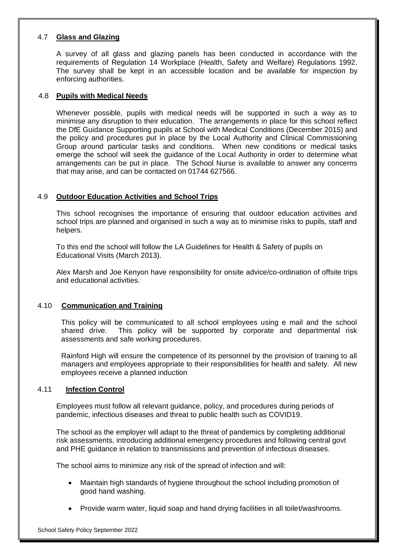# 4.7 **Glass and Glazing**

A survey of all glass and glazing panels has been conducted in accordance with the requirements of Regulation 14 Workplace (Health, Safety and Welfare) Regulations 1992. The survey shall be kept in an accessible location and be available for inspection by enforcing authorities.

#### 4.8 **Pupils with Medical Needs**

Whenever possible, pupils with medical needs will be supported in such a way as to minimise any disruption to their education. The arrangements in place for this school reflect the DfE Guidance Supporting pupils at School with Medical Conditions (December 2015) and the policy and procedures put in place by the Local Authority and Clinical Commissioning Group around particular tasks and conditions. When new conditions or medical tasks emerge the school will seek the guidance of the Local Authority in order to determine what arrangements can be put in place. The School Nurse is available to answer any concerns that may arise, and can be contacted on 01744 627566.

# 4.9 **Outdoor Education Activities and School Trips**

This school recognises the importance of ensuring that outdoor education activities and school trips are planned and organised in such a way as to minimise risks to pupils, staff and helpers.

To this end the school will follow the LA Guidelines for Health & Safety of pupils on Educational Visits (March 2013).

Alex Marsh and Joe Kenyon have responsibility for onsite advice/co-ordination of offsite trips and educational activities.

# 4.10 **Communication and Training**

This policy will be communicated to all school employees using e mail and the school shared drive. This policy will be supported by corporate and departmental risk assessments and safe working procedures.

Rainford High will ensure the competence of its personnel by the provision of training to all managers and employees appropriate to their responsibilities for health and safety. All new employees receive a planned induction

# 4.11 **Infection Control**

Employees must follow all relevant guidance, policy, and procedures during periods of pandemic, infectious diseases and threat to public health such as COVID19.

The school as the employer will adapt to the threat of pandemics by completing additional risk assessments, introducing additional emergency procedures and following central govt and PHE guidance in relation to transmissions and prevention of infectious diseases.

The school aims to minimize any risk of the spread of infection and will:

- Maintain high standards of hygiene throughout the school including promotion of good hand washing.
- Provide warm water, liquid soap and hand drying facilities in all toilet/washrooms.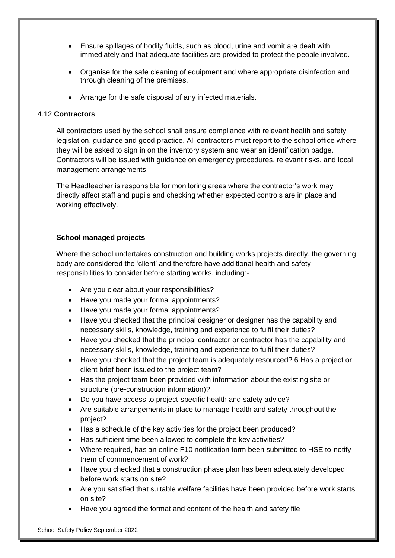- Ensure spillages of bodily fluids, such as blood, urine and vomit are dealt with immediately and that adequate facilities are provided to protect the people involved.
- Organise for the safe cleaning of equipment and where appropriate disinfection and through cleaning of the premises.
- Arrange for the safe disposal of any infected materials.

#### 4.12 **Contractors**

All contractors used by the school shall ensure compliance with relevant health and safety legislation, guidance and good practice. All contractors must report to the school office where they will be asked to sign in on the inventory system and wear an identification badge. Contractors will be issued with guidance on emergency procedures, relevant risks, and local management arrangements.

The Headteacher is responsible for monitoring areas where the contractor's work may directly affect staff and pupils and checking whether expected controls are in place and working effectively.

#### **School managed projects**

Where the school undertakes construction and building works projects directly, the governing body are considered the 'client' and therefore have additional health and safety responsibilities to consider before starting works, including:-

- Are you clear about your responsibilities?
- Have you made your formal appointments?
- Have you made your formal appointments?
- Have you checked that the principal designer or designer has the capability and necessary skills, knowledge, training and experience to fulfil their duties?
- Have you checked that the principal contractor or contractor has the capability and necessary skills, knowledge, training and experience to fulfil their duties?
- Have you checked that the project team is adequately resourced? 6 Has a project or client brief been issued to the project team?
- Has the project team been provided with information about the existing site or structure (pre-construction information)?
- Do you have access to project-specific health and safety advice?
- Are suitable arrangements in place to manage health and safety throughout the project?
- Has a schedule of the key activities for the project been produced?
- Has sufficient time been allowed to complete the key activities?
- Where required, has an online F10 notification form been submitted to HSE to notify them of commencement of work?
- Have you checked that a construction phase plan has been adequately developed before work starts on site?
- Are you satisfied that suitable welfare facilities have been provided before work starts on site?
- Have you agreed the format and content of the health and safety file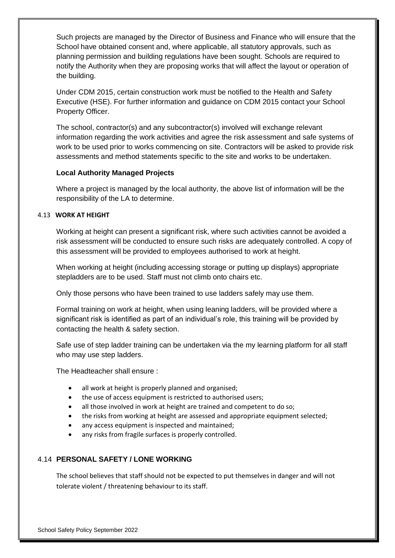Such projects are managed by the Director of Business and Finance who will ensure that the School have obtained consent and, where applicable, all statutory approvals, such as planning permission and building regulations have been sought. Schools are required to notify the Authority when they are proposing works that will affect the layout or operation of the building.

Under CDM 2015, certain construction work must be notified to the Health and Safety Executive (HSE). For further information and guidance on CDM 2015 contact your School Property Officer.

The school, contractor(s) and any subcontractor(s) involved will exchange relevant information regarding the work activities and agree the risk assessment and safe systems of work to be used prior to works commencing on site. Contractors will be asked to provide risk assessments and method statements specific to the site and works to be undertaken.

# **Local Authority Managed Projects**

 Where a project is managed by the local authority, the above list of information will be the responsibility of the LA to determine.

# 4.13 **WORK AT HEIGHT**

Working at height can present a significant risk, where such activities cannot be avoided a risk assessment will be conducted to ensure such risks are adequately controlled. A copy of this assessment will be provided to employees authorised to work at height.

When working at height (including accessing storage or putting up displays) appropriate stepladders are to be used. Staff must not climb onto chairs etc.

Only those persons who have been trained to use ladders safely may use them.

Formal training on work at height, when using leaning ladders, will be provided where a significant risk is identified as part of an individual's role, this training will be provided by contacting the health & safety section.

Safe use of step ladder training can be undertaken via the my learning platform for all staff who may use step ladders.

The Headteacher shall ensure :

- all work at height is properly planned and organised;
- the use of access equipment is restricted to authorised users;
- all those involved in work at height are trained and competent to do so;
- the risks from working at height are assessed and appropriate equipment selected;
- any access equipment is inspected and maintained;
- any risks from fragile surfaces is properly controlled.

# 4.14 **PERSONAL SAFETY / LONE WORKING**

The school believes that staff should not be expected to put themselves in danger and will not tolerate violent / threatening behaviour to its staff.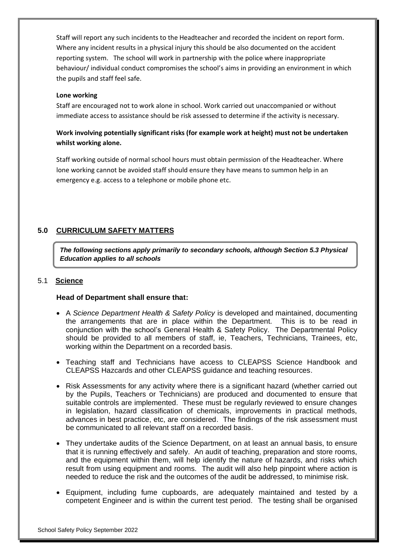Staff will report any such incidents to the Headteacher and recorded the incident on report form. Where any incident results in a physical injury this should be also documented on the accident reporting system. The school will work in partnership with the police where inappropriate behaviour/ individual conduct compromises the school's aims in providing an environment in which the pupils and staff feel safe.

#### **Lone working**

Staff are encouraged not to work alone in school. Work carried out unaccompanied or without immediate access to assistance should be risk assessed to determine if the activity is necessary.

# **Work involving potentially significant risks (for example work at height) must not be undertaken whilst working alone.**

Staff working outside of normal school hours must obtain permission of the Headteacher. Where lone working cannot be avoided staff should ensure they have means to summon help in an emergency e.g. access to a telephone or mobile phone etc.

# **5.0 CURRICULUM SAFETY MATTERS**

*The following sections apply primarily to secondary schools, although Section 5.3 Physical Education applies to all schools*

# 5.1 **Science**

#### **Head of Department shall ensure that:**

- A *Science Department Health & Safety Policy* is developed and maintained, documenting the arrangements that are in place within the Department. This is to be read in conjunction with the school's General Health & Safety Policy. The Departmental Policy should be provided to all members of staff, ie, Teachers, Technicians, Trainees, etc, working within the Department on a recorded basis.
- Teaching staff and Technicians have access to CLEAPSS Science Handbook and CLEAPSS Hazcards and other CLEAPSS guidance and teaching resources.
- Risk Assessments for any activity where there is a significant hazard (whether carried out by the Pupils, Teachers or Technicians) are produced and documented to ensure that suitable controls are implemented. These must be regularly reviewed to ensure changes in legislation, hazard classification of chemicals, improvements in practical methods, advances in best practice, etc, are considered. The findings of the risk assessment must be communicated to all relevant staff on a recorded basis.
- They undertake audits of the Science Department, on at least an annual basis, to ensure that it is running effectively and safely. An audit of teaching, preparation and store rooms, and the equipment within them, will help identify the nature of hazards, and risks which result from using equipment and rooms. The audit will also help pinpoint where action is needed to reduce the risk and the outcomes of the audit be addressed, to minimise risk.
- Equipment, including fume cupboards, are adequately maintained and tested by a competent Engineer and is within the current test period. The testing shall be organised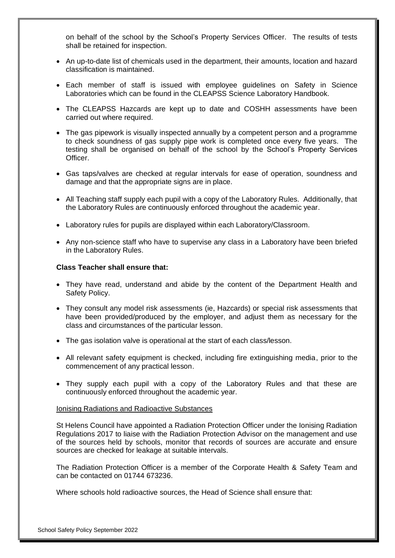on behalf of the school by the School's Property Services Officer. The results of tests shall be retained for inspection.

- An up-to-date list of chemicals used in the department, their amounts, location and hazard classification is maintained.
- Each member of staff is issued with employee guidelines on Safety in Science Laboratories which can be found in the CLEAPSS Science Laboratory Handbook.
- The CLEAPSS Hazcards are kept up to date and COSHH assessments have been carried out where required.
- The gas pipework is visually inspected annually by a competent person and a programme to check soundness of gas supply pipe work is completed once every five years. The testing shall be organised on behalf of the school by the School's Property Services Officer.
- Gas taps/valves are checked at regular intervals for ease of operation, soundness and damage and that the appropriate signs are in place.
- All Teaching staff supply each pupil with a copy of the Laboratory Rules. Additionally, that the Laboratory Rules are continuously enforced throughout the academic year.
- Laboratory rules for pupils are displayed within each Laboratory/Classroom.
- Any non-science staff who have to supervise any class in a Laboratory have been briefed in the Laboratory Rules.

#### **Class Teacher shall ensure that:**

- They have read, understand and abide by the content of the Department Health and Safety Policy.
- They consult any model risk assessments (ie, Hazcards) or special risk assessments that have been provided/produced by the employer, and adjust them as necessary for the class and circumstances of the particular lesson.
- The gas isolation valve is operational at the start of each class/lesson.
- All relevant safety equipment is checked, including fire extinguishing media, prior to the commencement of any practical lesson.
- They supply each pupil with a copy of the Laboratory Rules and that these are continuously enforced throughout the academic year.

#### Ionising Radiations and Radioactive Substances

St Helens Council have appointed a Radiation Protection Officer under the Ionising Radiation Regulations 2017 to liaise with the Radiation Protection Advisor on the management and use of the sources held by schools, monitor that records of sources are accurate and ensure sources are checked for leakage at suitable intervals.

The Radiation Protection Officer is a member of the Corporate Health & Safety Team and can be contacted on 01744 673236.

Where schools hold radioactive sources, the Head of Science shall ensure that: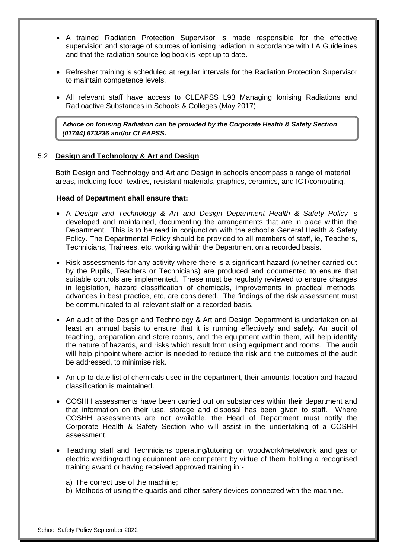- A trained Radiation Protection Supervisor is made responsible for the effective supervision and storage of sources of ionising radiation in accordance with LA Guidelines and that the radiation source log book is kept up to date.
- Refresher training is scheduled at regular intervals for the Radiation Protection Supervisor to maintain competence levels.
- All relevant staff have access to CLEAPSS L93 Managing Ionising Radiations and Radioactive Substances in Schools & Colleges (May 2017).

*Advice on Ionising Radiation can be provided by the Corporate Health & Safety Section (01744) 673236 and/or CLEAPSS.*

#### 5.2 **Design and Technology & Art and Design**

Both Design and Technology and Art and Design in schools encompass a range of material areas, including food, textiles, resistant materials, graphics, ceramics, and ICT/computing.

#### **Head of Department shall ensure that:**

- A *Design and Technology & Art and Design Department Health & Safety Policy* is developed and maintained, documenting the arrangements that are in place within the Department. This is to be read in conjunction with the school's General Health & Safety Policy. The Departmental Policy should be provided to all members of staff, ie, Teachers, Technicians, Trainees, etc, working within the Department on a recorded basis.
- Risk assessments for any activity where there is a significant hazard (whether carried out by the Pupils, Teachers or Technicians) are produced and documented to ensure that suitable controls are implemented. These must be regularly reviewed to ensure changes in legislation, hazard classification of chemicals, improvements in practical methods, advances in best practice, etc, are considered. The findings of the risk assessment must be communicated to all relevant staff on a recorded basis.
- An audit of the Design and Technology & Art and Design Department is undertaken on at least an annual basis to ensure that it is running effectively and safely. An audit of teaching, preparation and store rooms, and the equipment within them, will help identify the nature of hazards, and risks which result from using equipment and rooms. The audit will help pinpoint where action is needed to reduce the risk and the outcomes of the audit be addressed, to minimise risk.
- An up-to-date list of chemicals used in the department, their amounts, location and hazard classification is maintained.
- COSHH assessments have been carried out on substances within their department and that information on their use, storage and disposal has been given to staff. Where COSHH assessments are not available, the Head of Department must notify the Corporate Health & Safety Section who will assist in the undertaking of a COSHH assessment.
- Teaching staff and Technicians operating/tutoring on woodwork/metalwork and gas or electric welding/cutting equipment are competent by virtue of them holding a recognised training award or having received approved training in:
	- a) The correct use of the machine;
	- b) Methods of using the guards and other safety devices connected with the machine.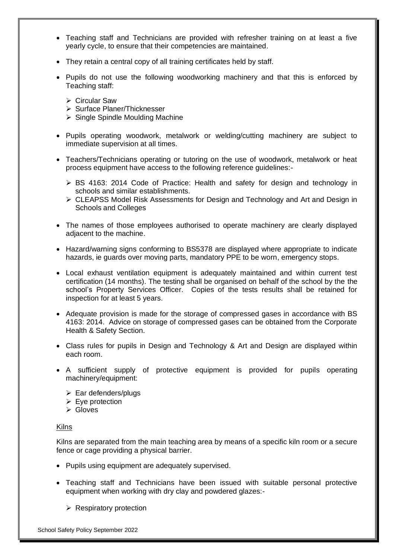- Teaching staff and Technicians are provided with refresher training on at least a five yearly cycle, to ensure that their competencies are maintained.
- They retain a central copy of all training certificates held by staff.
- Pupils do not use the following woodworking machinery and that this is enforced by Teaching staff:
	- ➢ Circular Saw
	- ➢ Surface Planer/Thicknesser
	- ➢ Single Spindle Moulding Machine
- Pupils operating woodwork, metalwork or welding/cutting machinery are subject to immediate supervision at all times.
- Teachers/Technicians operating or tutoring on the use of woodwork, metalwork or heat process equipment have access to the following reference guidelines:-
	- ➢ BS 4163: 2014 Code of Practice: Health and safety for design and technology in schools and similar establishments.
	- ➢ CLEAPSS Model Risk Assessments for Design and Technology and Art and Design in Schools and Colleges
- The names of those employees authorised to operate machinery are clearly displayed adjacent to the machine.
- Hazard/warning signs conforming to BS5378 are displayed where appropriate to indicate hazards, ie guards over moving parts, mandatory PPE to be worn, emergency stops.
- Local exhaust ventilation equipment is adequately maintained and within current test certification (14 months). The testing shall be organised on behalf of the school by the the school's Property Services Officer. Copies of the tests results shall be retained for inspection for at least 5 years.
- Adequate provision is made for the storage of compressed gases in accordance with BS 4163: 2014. Advice on storage of compressed gases can be obtained from the Corporate Health & Safety Section.
- Class rules for pupils in Design and Technology & Art and Design are displayed within each room.
- A sufficient supply of protective equipment is provided for pupils operating machinery/equipment:
	- $\triangleright$  Ear defenders/plugs
	- $\triangleright$  Eye protection
	- ➢ Gloves

#### Kilns

Kilns are separated from the main teaching area by means of a specific kiln room or a secure fence or cage providing a physical barrier.

- Pupils using equipment are adequately supervised.
- Teaching staff and Technicians have been issued with suitable personal protective equipment when working with dry clay and powdered glazes:-
	- $\triangleright$  Respiratory protection

School Safety Policy September 2022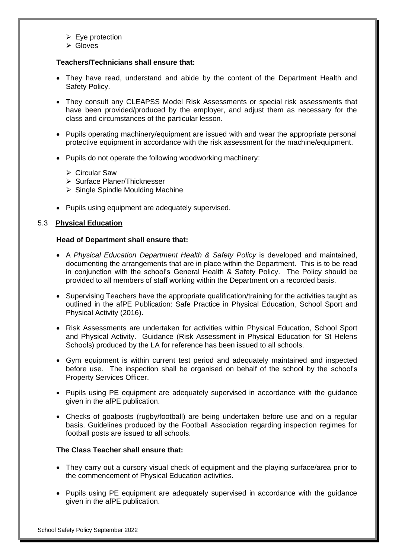- $\triangleright$  Eye protection
- ➢ Gloves

## **Teachers/Technicians shall ensure that:**

- They have read, understand and abide by the content of the Department Health and Safety Policy.
- They consult any CLEAPSS Model Risk Assessments or special risk assessments that have been provided/produced by the employer, and adjust them as necessary for the class and circumstances of the particular lesson.
- Pupils operating machinery/equipment are issued with and wear the appropriate personal protective equipment in accordance with the risk assessment for the machine/equipment.
- Pupils do not operate the following woodworking machinery:
	- ➢ Circular Saw
	- ➢ Surface Planer/Thicknesser
	- ➢ Single Spindle Moulding Machine
- Pupils using equipment are adequately supervised.

#### 5.3 **Physical Education**

#### **Head of Department shall ensure that:**

- A *Physical Education Department Health & Safety Policy* is developed and maintained, documenting the arrangements that are in place within the Department. This is to be read in conjunction with the school's General Health & Safety Policy. The Policy should be provided to all members of staff working within the Department on a recorded basis.
- Supervising Teachers have the appropriate qualification/training for the activities taught as outlined in the afPE Publication: Safe Practice in Physical Education, School Sport and Physical Activity (2016).
- Risk Assessments are undertaken for activities within Physical Education, School Sport and Physical Activity. Guidance (Risk Assessment in Physical Education for St Helens Schools) produced by the LA for reference has been issued to all schools.
- Gym equipment is within current test period and adequately maintained and inspected before use. The inspection shall be organised on behalf of the school by the school's Property Services Officer.
- Pupils using PE equipment are adequately supervised in accordance with the guidance given in the afPE publication.
- Checks of goalposts (rugby/football) are being undertaken before use and on a regular basis. Guidelines produced by the Football Association regarding inspection regimes for football posts are issued to all schools.

#### **The Class Teacher shall ensure that:**

- They carry out a cursory visual check of equipment and the playing surface/area prior to the commencement of Physical Education activities.
- Pupils using PE equipment are adequately supervised in accordance with the quidance given in the afPE publication.